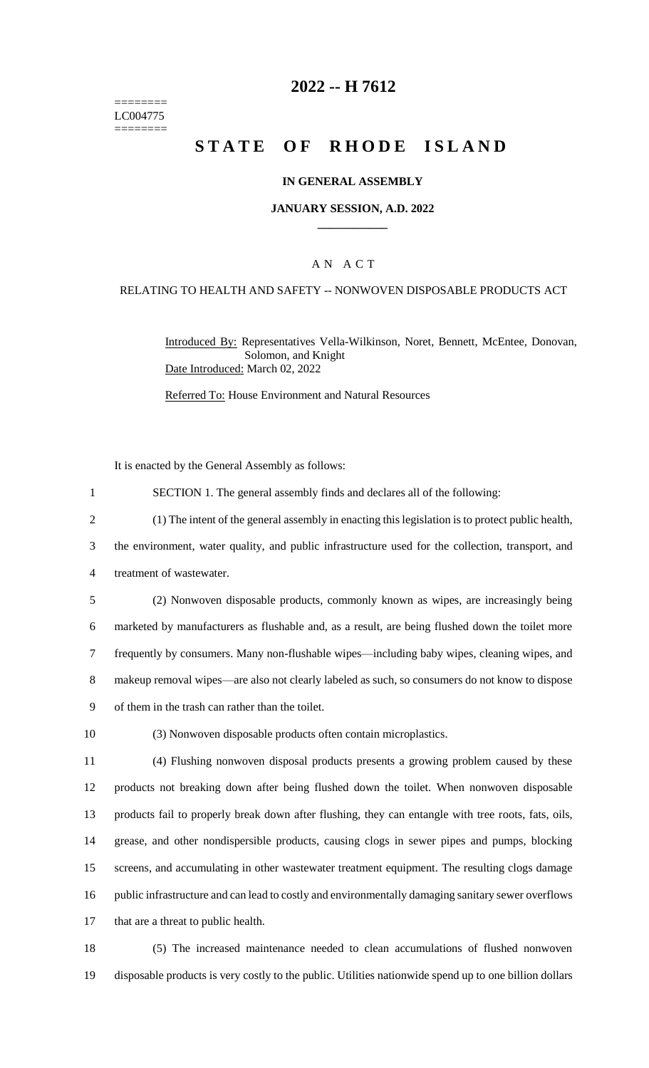======== LC004775 ========

## **2022 -- H 7612**

# **STATE OF RHODE ISLAND**

#### **IN GENERAL ASSEMBLY**

#### **JANUARY SESSION, A.D. 2022 \_\_\_\_\_\_\_\_\_\_\_\_**

### A N A C T

#### RELATING TO HEALTH AND SAFETY -- NONWOVEN DISPOSABLE PRODUCTS ACT

Introduced By: Representatives Vella-Wilkinson, Noret, Bennett, McEntee, Donovan, Solomon, and Knight Date Introduced: March 02, 2022

Referred To: House Environment and Natural Resources

It is enacted by the General Assembly as follows:

1 SECTION 1. The general assembly finds and declares all of the following:

2 (1) The intent of the general assembly in enacting this legislation is to protect public health,

3 the environment, water quality, and public infrastructure used for the collection, transport, and

4 treatment of wastewater.

 (2) Nonwoven disposable products, commonly known as wipes, are increasingly being marketed by manufacturers as flushable and, as a result, are being flushed down the toilet more frequently by consumers. Many non-flushable wipes—including baby wipes, cleaning wipes, and makeup removal wipes—are also not clearly labeled as such, so consumers do not know to dispose of them in the trash can rather than the toilet.

10 (3) Nonwoven disposable products often contain microplastics.

 (4) Flushing nonwoven disposal products presents a growing problem caused by these products not breaking down after being flushed down the toilet. When nonwoven disposable products fail to properly break down after flushing, they can entangle with tree roots, fats, oils, grease, and other nondispersible products, causing clogs in sewer pipes and pumps, blocking screens, and accumulating in other wastewater treatment equipment. The resulting clogs damage public infrastructure and can lead to costly and environmentally damaging sanitary sewer overflows that are a threat to public health.

18 (5) The increased maintenance needed to clean accumulations of flushed nonwoven 19 disposable products is very costly to the public. Utilities nationwide spend up to one billion dollars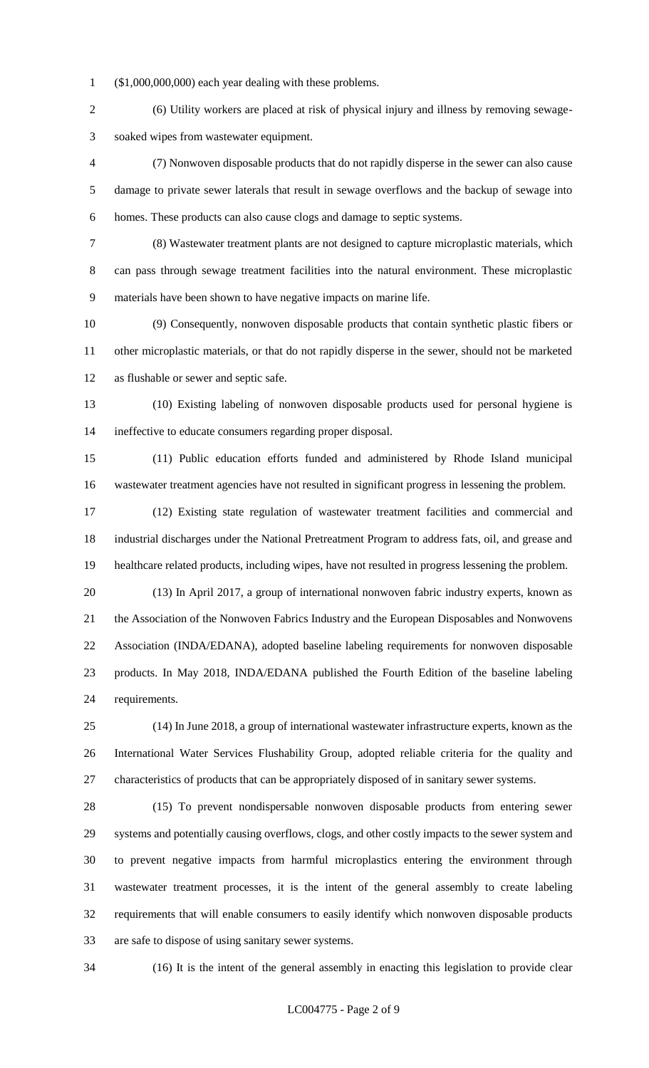(\$1,000,000,000) each year dealing with these problems.

 (6) Utility workers are placed at risk of physical injury and illness by removing sewage-soaked wipes from wastewater equipment.

 (7) Nonwoven disposable products that do not rapidly disperse in the sewer can also cause damage to private sewer laterals that result in sewage overflows and the backup of sewage into homes. These products can also cause clogs and damage to septic systems.

 (8) Wastewater treatment plants are not designed to capture microplastic materials, which can pass through sewage treatment facilities into the natural environment. These microplastic materials have been shown to have negative impacts on marine life.

 (9) Consequently, nonwoven disposable products that contain synthetic plastic fibers or other microplastic materials, or that do not rapidly disperse in the sewer, should not be marketed as flushable or sewer and septic safe.

 (10) Existing labeling of nonwoven disposable products used for personal hygiene is ineffective to educate consumers regarding proper disposal.

 (11) Public education efforts funded and administered by Rhode Island municipal wastewater treatment agencies have not resulted in significant progress in lessening the problem.

 (12) Existing state regulation of wastewater treatment facilities and commercial and industrial discharges under the National Pretreatment Program to address fats, oil, and grease and healthcare related products, including wipes, have not resulted in progress lessening the problem.

 (13) In April 2017, a group of international nonwoven fabric industry experts, known as the Association of the Nonwoven Fabrics Industry and the European Disposables and Nonwovens Association (INDA/EDANA), adopted baseline labeling requirements for nonwoven disposable products. In May 2018, INDA/EDANA published the Fourth Edition of the baseline labeling requirements.

 (14) In June 2018, a group of international wastewater infrastructure experts, known as the International Water Services Flushability Group, adopted reliable criteria for the quality and characteristics of products that can be appropriately disposed of in sanitary sewer systems.

 (15) To prevent nondispersable nonwoven disposable products from entering sewer systems and potentially causing overflows, clogs, and other costly impacts to the sewer system and to prevent negative impacts from harmful microplastics entering the environment through wastewater treatment processes, it is the intent of the general assembly to create labeling requirements that will enable consumers to easily identify which nonwoven disposable products are safe to dispose of using sanitary sewer systems.

(16) It is the intent of the general assembly in enacting this legislation to provide clear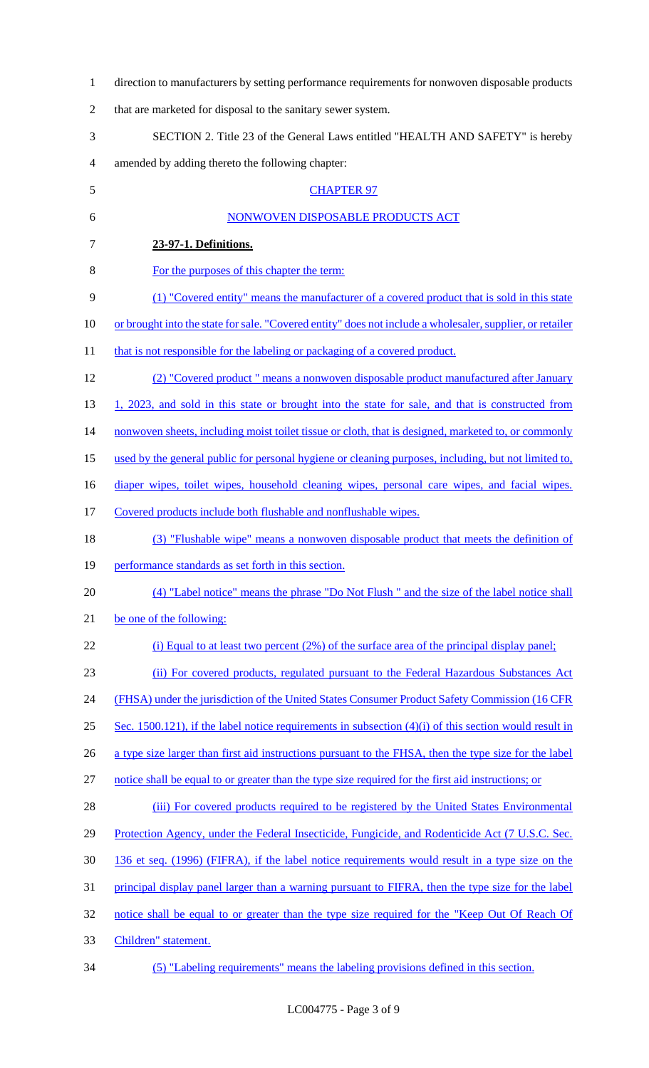| $\mathbf{1}$   | direction to manufacturers by setting performance requirements for nonwoven disposable products           |
|----------------|-----------------------------------------------------------------------------------------------------------|
| $\overline{2}$ | that are marketed for disposal to the sanitary sewer system.                                              |
| 3              | SECTION 2. Title 23 of the General Laws entitled "HEALTH AND SAFETY" is hereby                            |
| 4              | amended by adding thereto the following chapter:                                                          |
| 5              | <b>CHAPTER 97</b>                                                                                         |
| 6              | NONWOVEN DISPOSABLE PRODUCTS ACT                                                                          |
| 7              | 23-97-1. Definitions.                                                                                     |
| 8              | For the purposes of this chapter the term:                                                                |
| 9              | (1) "Covered entity" means the manufacturer of a covered product that is sold in this state               |
| 10             | or brought into the state for sale. "Covered entity" does not include a wholesaler, supplier, or retailer |
| 11             | that is not responsible for the labeling or packaging of a covered product.                               |
| 12             | (2) "Covered product " means a nonwoven disposable product manufactured after January                     |
| 13             | 1, 2023, and sold in this state or brought into the state for sale, and that is constructed from          |
| 14             | nonwoven sheets, including moist toilet tissue or cloth, that is designed, marketed to, or commonly       |
| 15             | used by the general public for personal hygiene or cleaning purposes, including, but not limited to,      |
| 16             | diaper wipes, toilet wipes, household cleaning wipes, personal care wipes, and facial wipes.              |
| 17             | Covered products include both flushable and nonflushable wipes.                                           |
| 18             | (3) "Flushable wipe" means a nonwoven disposable product that meets the definition of                     |
| 19             | performance standards as set forth in this section.                                                       |
| 20             | (4) "Label notice" means the phrase "Do Not Flush" and the size of the label notice shall                 |
| 21             | be one of the following:                                                                                  |
| 22             | (i) Equal to at least two percent $(2\%)$ of the surface area of the principal display panel;             |
| 23             | (ii) For covered products, regulated pursuant to the Federal Hazardous Substances Act                     |
| 24             | (FHSA) under the jurisdiction of the United States Consumer Product Safety Commission (16 CFR)            |
| 25             | Sec. 1500.121), if the label notice requirements in subsection $(4)(i)$ of this section would result in   |
| 26             | a type size larger than first aid instructions pursuant to the FHSA, then the type size for the label     |
| 27             | notice shall be equal to or greater than the type size required for the first aid instructions; or        |
| 28             | (iii) For covered products required to be registered by the United States Environmental                   |
| 29             | Protection Agency, under the Federal Insecticide, Fungicide, and Rodenticide Act (7 U.S.C. Sec.           |
| 30             | 136 et seq. (1996) (FIFRA), if the label notice requirements would result in a type size on the           |
| 31             | principal display panel larger than a warning pursuant to FIFRA, then the type size for the label         |
| 32             | notice shall be equal to or greater than the type size required for the "Keep Out Of Reach Of             |
| 33             | Children" statement.                                                                                      |
| 34             | (5) "Labeling requirements" means the labeling provisions defined in this section.                        |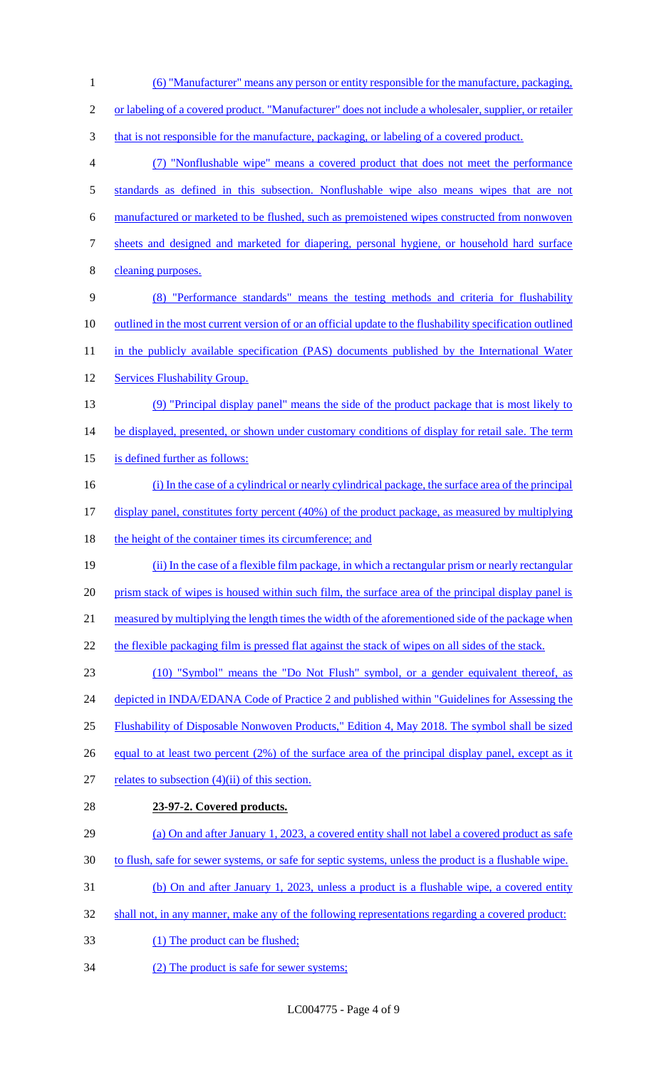(6) "Manufacturer" means any person or entity responsible for the manufacture, packaging, or labeling of a covered product. "Manufacturer" does not include a wholesaler, supplier, or retailer 3 that is not responsible for the manufacture, packaging, or labeling of a covered product. (7) "Nonflushable wipe" means a covered product that does not meet the performance standards as defined in this subsection. Nonflushable wipe also means wipes that are not manufactured or marketed to be flushed, such as premoistened wipes constructed from nonwoven sheets and designed and marketed for diapering, personal hygiene, or household hard surface cleaning purposes. (8) "Performance standards" means the testing methods and criteria for flushability 10 outlined in the most current version of or an official update to the flushability specification outlined 11 in the publicly available specification (PAS) documents published by the International Water Services Flushability Group. (9) "Principal display panel" means the side of the product package that is most likely to 14 be displayed, presented, or shown under customary conditions of display for retail sale. The term is defined further as follows: (i) In the case of a cylindrical or nearly cylindrical package, the surface area of the principal display panel, constitutes forty percent (40%) of the product package, as measured by multiplying 18 the height of the container times its circumference; and (ii) In the case of a flexible film package, in which a rectangular prism or nearly rectangular 20 prism stack of wipes is housed within such film, the surface area of the principal display panel is measured by multiplying the length times the width of the aforementioned side of the package when 22 the flexible packaging film is pressed flat against the stack of wipes on all sides of the stack. (10) "Symbol" means the "Do Not Flush" symbol, or a gender equivalent thereof, as 24 depicted in INDA/EDANA Code of Practice 2 and published within "Guidelines for Assessing the Flushability of Disposable Nonwoven Products," Edition 4, May 2018. The symbol shall be sized equal to at least two percent (2%) of the surface area of the principal display panel, except as it 27 relates to subsection  $(4)(ii)$  of this section. **23-97-2. Covered products.** (a) On and after January 1, 2023, a covered entity shall not label a covered product as safe to flush, safe for sewer systems, or safe for septic systems, unless the product is a flushable wipe. (b) On and after January 1, 2023, unless a product is a flushable wipe, a covered entity 32 shall not, in any manner, make any of the following representations regarding a covered product: 33 (1) The product can be flushed; (2) The product is safe for sewer systems;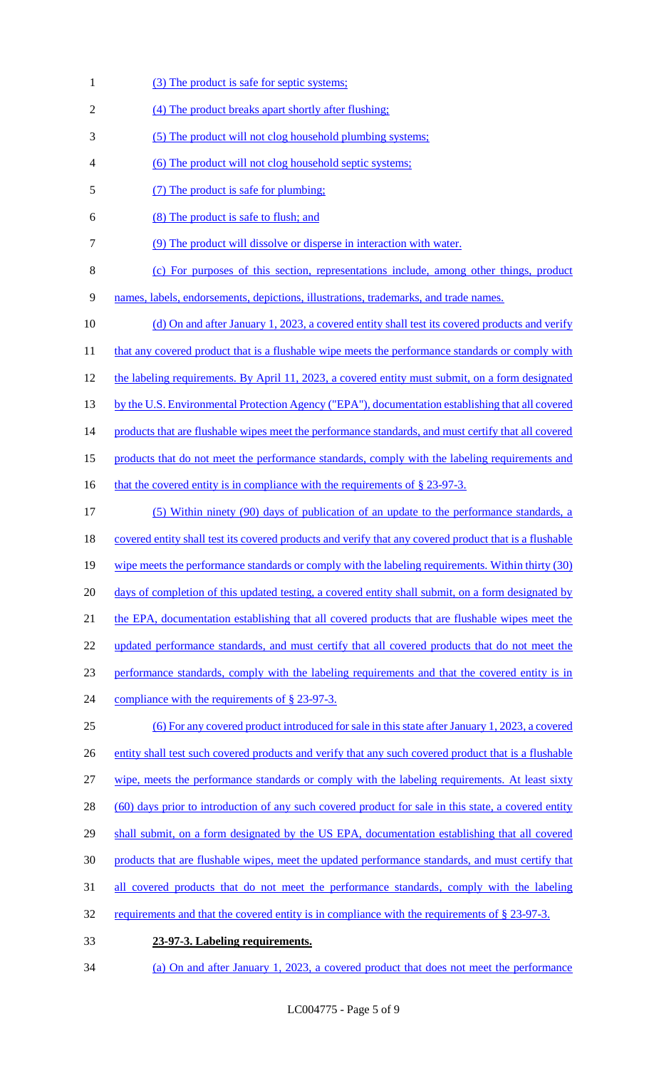- 1 (3) The product is safe for septic systems;
- 2 (4) The product breaks apart shortly after flushing;
- 3 (5) The product will not clog household plumbing systems;
- 4 (6) The product will not clog household septic systems;
- 5 (7) The product is safe for plumbing;
- 6 (8) The product is safe to flush; and
- 7 (9) The product will dissolve or disperse in interaction with water.
- 8 (c) For purposes of this section, representations include, among other things, product

9 names, labels, endorsements, depictions, illustrations, trademarks, and trade names.

- 10 (d) On and after January 1, 2023, a covered entity shall test its covered products and verify
- 11 that any covered product that is a flushable wipe meets the performance standards or comply with
- 12 the labeling requirements. By April 11, 2023, a covered entity must submit, on a form designated
- 13 by the U.S. Environmental Protection Agency ("EPA"), documentation establishing that all covered
- 14 products that are flushable wipes meet the performance standards, and must certify that all covered
- 15 products that do not meet the performance standards, comply with the labeling requirements and
- 16 that the covered entity is in compliance with the requirements of  $\S 23-97-3$ .
- 17 (5) Within ninety (90) days of publication of an update to the performance standards, a 18 covered entity shall test its covered products and verify that any covered product that is a flushable 19 wipe meets the performance standards or comply with the labeling requirements. Within thirty (30) 20 days of completion of this updated testing, a covered entity shall submit, on a form designated by 21 the EPA, documentation establishing that all covered products that are flushable wipes meet the 22 updated performance standards, and must certify that all covered products that do not meet the 23 performance standards, comply with the labeling requirements and that the covered entity is in 24 compliance with the requirements of § 23-97-3. 25 (6) For any covered product introduced for sale in this state after January 1, 2023, a covered 26 entity shall test such covered products and verify that any such covered product that is a flushable
- 27 wipe, meets the performance standards or comply with the labeling requirements. At least sixty
- 28 (60) days prior to introduction of any such covered product for sale in this state, a covered entity
- 29 shall submit, on a form designated by the US EPA, documentation establishing that all covered
- 30 products that are flushable wipes, meet the updated performance standards, and must certify that
- 31 all covered products that do not meet the performance standards, comply with the labeling
- 32 requirements and that the covered entity is in compliance with the requirements of § 23-97-3.
- 33 **23-97-3. Labeling requirements.**
- 34 (a) On and after January 1, 2023, a covered product that does not meet the performance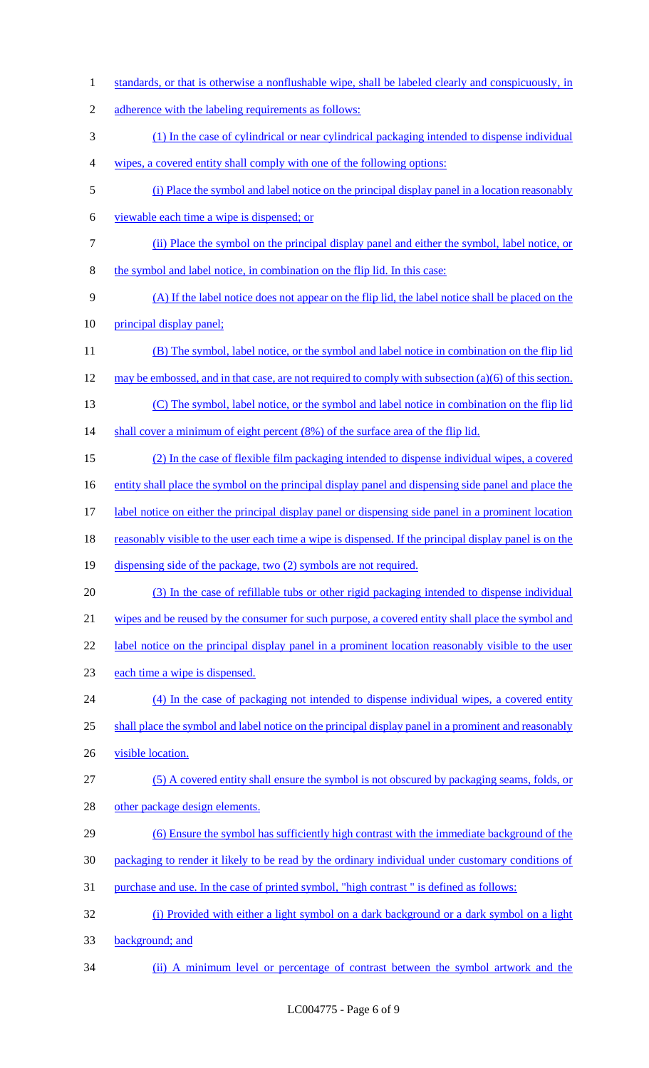standards, or that is otherwise a nonflushable wipe, shall be labeled clearly and conspicuously, in 2 adherence with the labeling requirements as follows: (1) In the case of cylindrical or near cylindrical packaging intended to dispense individual wipes, a covered entity shall comply with one of the following options: (i) Place the symbol and label notice on the principal display panel in a location reasonably viewable each time a wipe is dispensed; or (ii) Place the symbol on the principal display panel and either the symbol, label notice, or the symbol and label notice, in combination on the flip lid. In this case: (A) If the label notice does not appear on the flip lid, the label notice shall be placed on the 10 principal display panel; (B) The symbol, label notice, or the symbol and label notice in combination on the flip lid may be embossed, and in that case, are not required to comply with subsection (a)(6) of this section. (C) The symbol, label notice, or the symbol and label notice in combination on the flip lid 14 shall cover a minimum of eight percent (8%) of the surface area of the flip lid. (2) In the case of flexible film packaging intended to dispense individual wipes, a covered entity shall place the symbol on the principal display panel and dispensing side panel and place the label notice on either the principal display panel or dispensing side panel in a prominent location 18 reasonably visible to the user each time a wipe is dispensed. If the principal display panel is on the dispensing side of the package, two (2) symbols are not required. (3) In the case of refillable tubs or other rigid packaging intended to dispense individual 21 wipes and be reused by the consumer for such purpose, a covered entity shall place the symbol and 22 label notice on the principal display panel in a prominent location reasonably visible to the user each time a wipe is dispensed. (4) In the case of packaging not intended to dispense individual wipes, a covered entity shall place the symbol and label notice on the principal display panel in a prominent and reasonably 26 visible location. (5) A covered entity shall ensure the symbol is not obscured by packaging seams, folds, or other package design elements. (6) Ensure the symbol has sufficiently high contrast with the immediate background of the packaging to render it likely to be read by the ordinary individual under customary conditions of purchase and use. In the case of printed symbol, "high contrast " is defined as follows: (i) Provided with either a light symbol on a dark background or a dark symbol on a light background; and (ii) A minimum level or percentage of contrast between the symbol artwork and the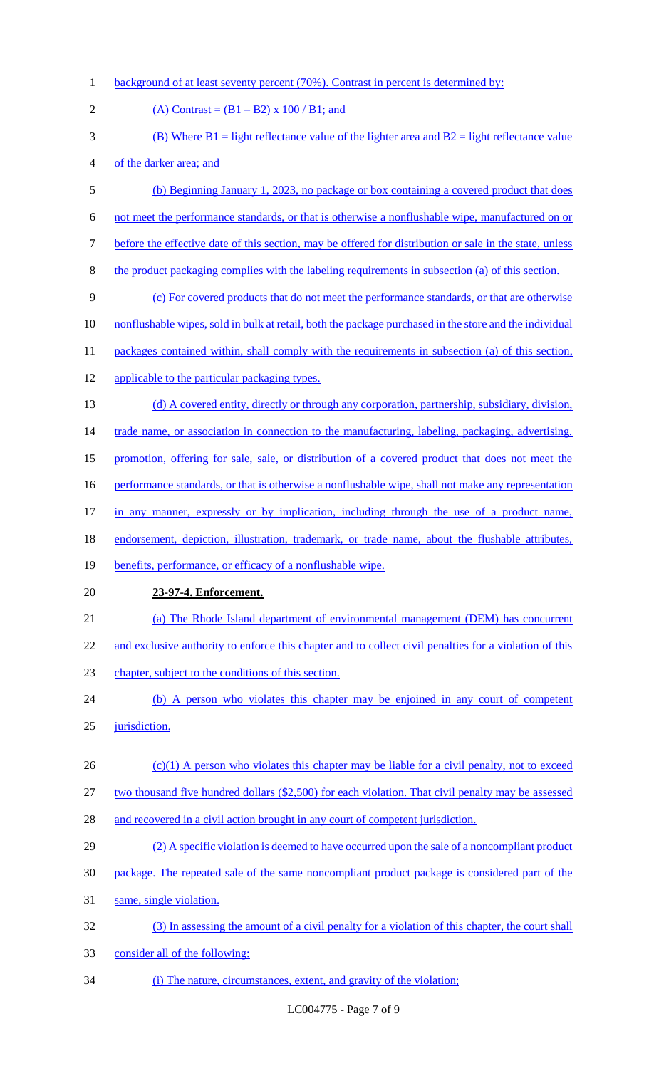- 1 background of at least seventy percent (70%). Contrast in percent is determined by:
- 2 (A) Contrast =  $(B1 B2)$  x 100 / B1; and 3 (B) Where  $B1 =$  light reflectance value of the lighter area and  $B2 =$  light reflectance value 4 of the darker area; and 5 (b) Beginning January 1, 2023, no package or box containing a covered product that does 6 not meet the performance standards, or that is otherwise a nonflushable wipe, manufactured on or 7 before the effective date of this section, may be offered for distribution or sale in the state, unless 8 the product packaging complies with the labeling requirements in subsection (a) of this section. 9 (c) For covered products that do not meet the performance standards, or that are otherwise 10 nonflushable wipes, sold in bulk at retail, both the package purchased in the store and the individual 11 packages contained within, shall comply with the requirements in subsection (a) of this section, 12 applicable to the particular packaging types. 13 (d) A covered entity, directly or through any corporation, partnership, subsidiary, division, 14 trade name, or association in connection to the manufacturing, labeling, packaging, advertising, 15 promotion, offering for sale, sale, or distribution of a covered product that does not meet the 16 performance standards, or that is otherwise a nonflushable wipe, shall not make any representation 17 in any manner, expressly or by implication, including through the use of a product name, 18 endorsement, depiction, illustration, trademark, or trade name, about the flushable attributes, 19 benefits, performance, or efficacy of a nonflushable wipe. 20 **23-97-4. Enforcement.** 21 (a) The Rhode Island department of environmental management (DEM) has concurrent 22 and exclusive authority to enforce this chapter and to collect civil penalties for a violation of this 23 chapter, subject to the conditions of this section. 24 (b) A person who violates this chapter may be enjoined in any court of competent 25 jurisdiction.  $26$  (c)(1) A person who violates this chapter may be liable for a civil penalty, not to exceed 27 two thousand five hundred dollars (\$2,500) for each violation. That civil penalty may be assessed 28 and recovered in a civil action brought in any court of competent jurisdiction. 29 (2) A specific violation is deemed to have occurred upon the sale of a noncompliant product 30 package. The repeated sale of the same noncompliant product package is considered part of the 31 same, single violation. 32 (3) In assessing the amount of a civil penalty for a violation of this chapter, the court shall 33 consider all of the following: 34 (i) The nature, circumstances, extent, and gravity of the violation;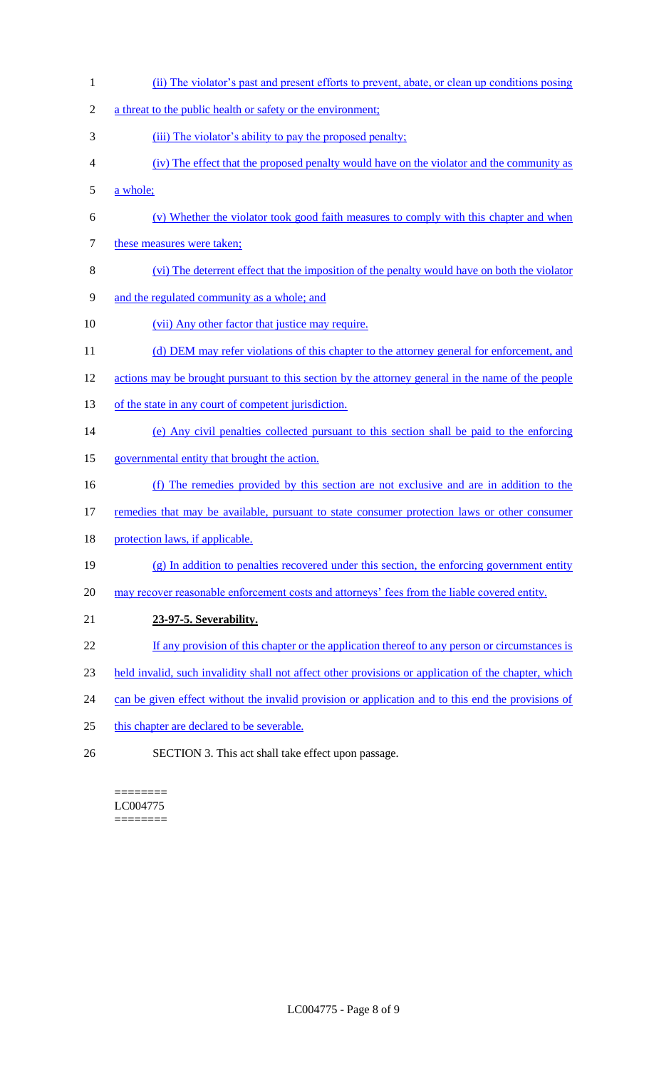1 (ii) The violator's past and present efforts to prevent, abate, or clean up conditions posing 2 a threat to the public health or safety or the environment; 3 (iii) The violator's ability to pay the proposed penalty; 4 (iv) The effect that the proposed penalty would have on the violator and the community as 5 a whole; 6 (v) Whether the violator took good faith measures to comply with this chapter and when 7 these measures were taken; 8 (vi) The deterrent effect that the imposition of the penalty would have on both the violator 9 and the regulated community as a whole; and 10 (vii) Any other factor that justice may require. 11 (d) DEM may refer violations of this chapter to the attorney general for enforcement, and 12 actions may be brought pursuant to this section by the attorney general in the name of the people 13 of the state in any court of competent jurisdiction. 14 (e) Any civil penalties collected pursuant to this section shall be paid to the enforcing 15 governmental entity that brought the action. 16 (f) The remedies provided by this section are not exclusive and are in addition to the 17 remedies that may be available, pursuant to state consumer protection laws or other consumer 18 protection laws, if applicable. 19 (g) In addition to penalties recovered under this section, the enforcing government entity 20 may recover reasonable enforcement costs and attorneys' fees from the liable covered entity. 21 **23-97-5. Severability.** 22 If any provision of this chapter or the application thereof to any person or circumstances is 23 held invalid, such invalidity shall not affect other provisions or application of the chapter, which 24 can be given effect without the invalid provision or application and to this end the provisions of 25 this chapter are declared to be severable. 26 SECTION 3. This act shall take effect upon passage.

#### ======== LC004775 ========